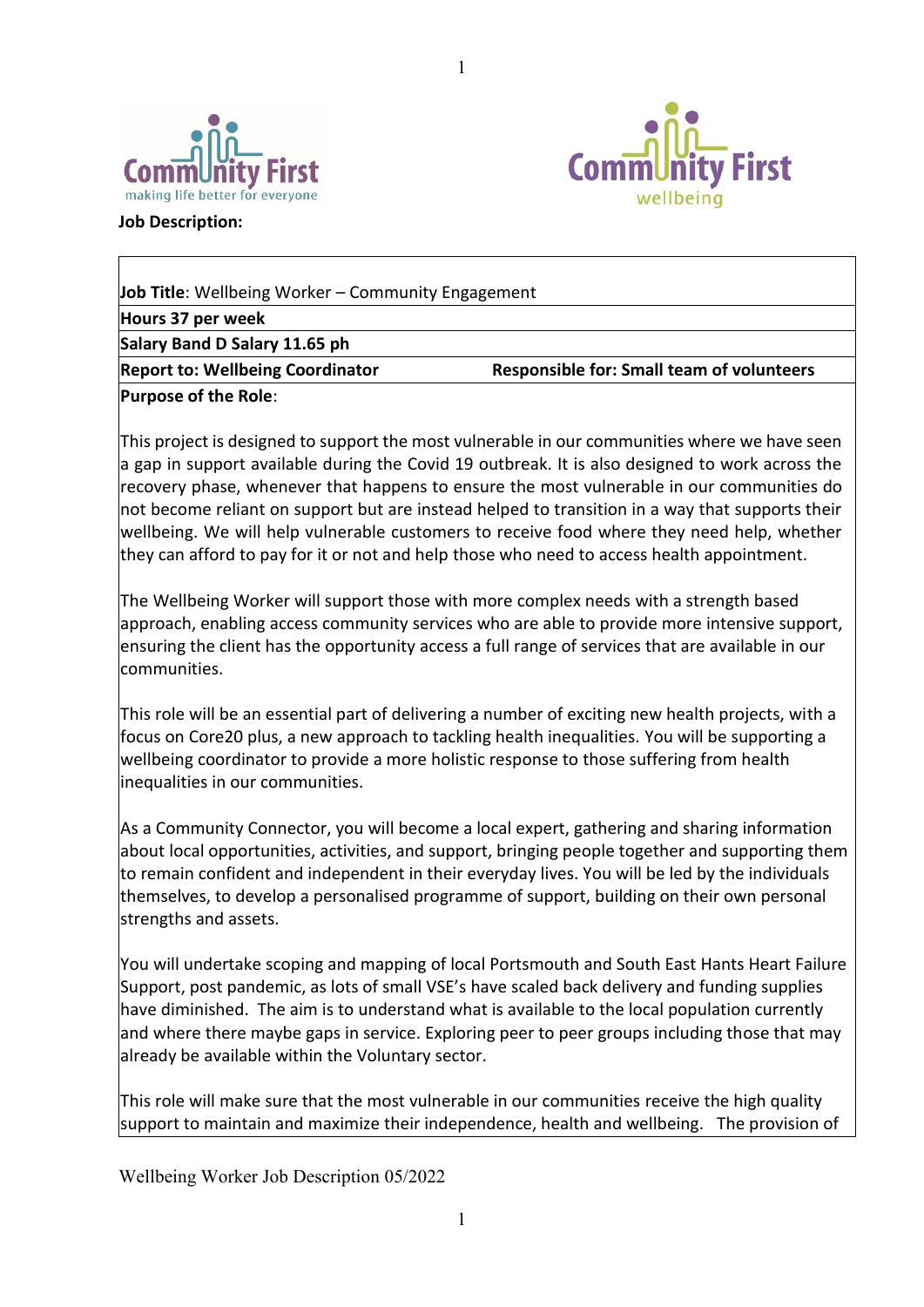



**Job Description:**

| <b>Job Title:</b> Wellbeing Worker – Community Engagement |                                                  |  |  |
|-----------------------------------------------------------|--------------------------------------------------|--|--|
| Hours 37 per week                                         |                                                  |  |  |
| Salary Band D Salary 11.65 ph                             |                                                  |  |  |
| <b>Report to: Wellbeing Coordinator</b>                   | <b>Responsible for: Small team of volunteers</b> |  |  |
| <b>Purpose of the Role:</b>                               |                                                  |  |  |

1

This project is designed to support the most vulnerable in our communities where we have seen a gap in support available during the Covid 19 outbreak. It is also designed to work across the recovery phase, whenever that happens to ensure the most vulnerable in our communities do not become reliant on support but are instead helped to transition in a way that supports their wellbeing. We will help vulnerable customers to receive food where they need help, whether they can afford to pay for it or not and help those who need to access health appointment.

The Wellbeing Worker will support those with more complex needs with a strength based approach, enabling access community services who are able to provide more intensive support, ensuring the client has the opportunity access a full range of services that are available in our communities.

This role will be an essential part of delivering a number of exciting new health projects, with a focus on Core20 plus, a new approach to tackling health inequalities. You will be supporting a wellbeing coordinator to provide a more holistic response to those suffering from health inequalities in our communities.

As a Community Connector, you will become a local expert, gathering and sharing information about local opportunities, activities, and support, bringing people together and supporting them to remain confident and independent in their everyday lives. You will be led by the individuals themselves, to develop a personalised programme of support, building on their own personal strengths and assets.

You will undertake scoping and mapping of local Portsmouth and South East Hants Heart Failure Support, post pandemic, as lots of small VSE's have scaled back delivery and funding supplies have diminished. The aim is to understand what is available to the local population currently and where there maybe gaps in service. Exploring peer to peer groups including those that may already be available within the Voluntary sector.

This role will make sure that the most vulnerable in our communities receive the high quality support to maintain and maximize their independence, health and wellbeing. The provision of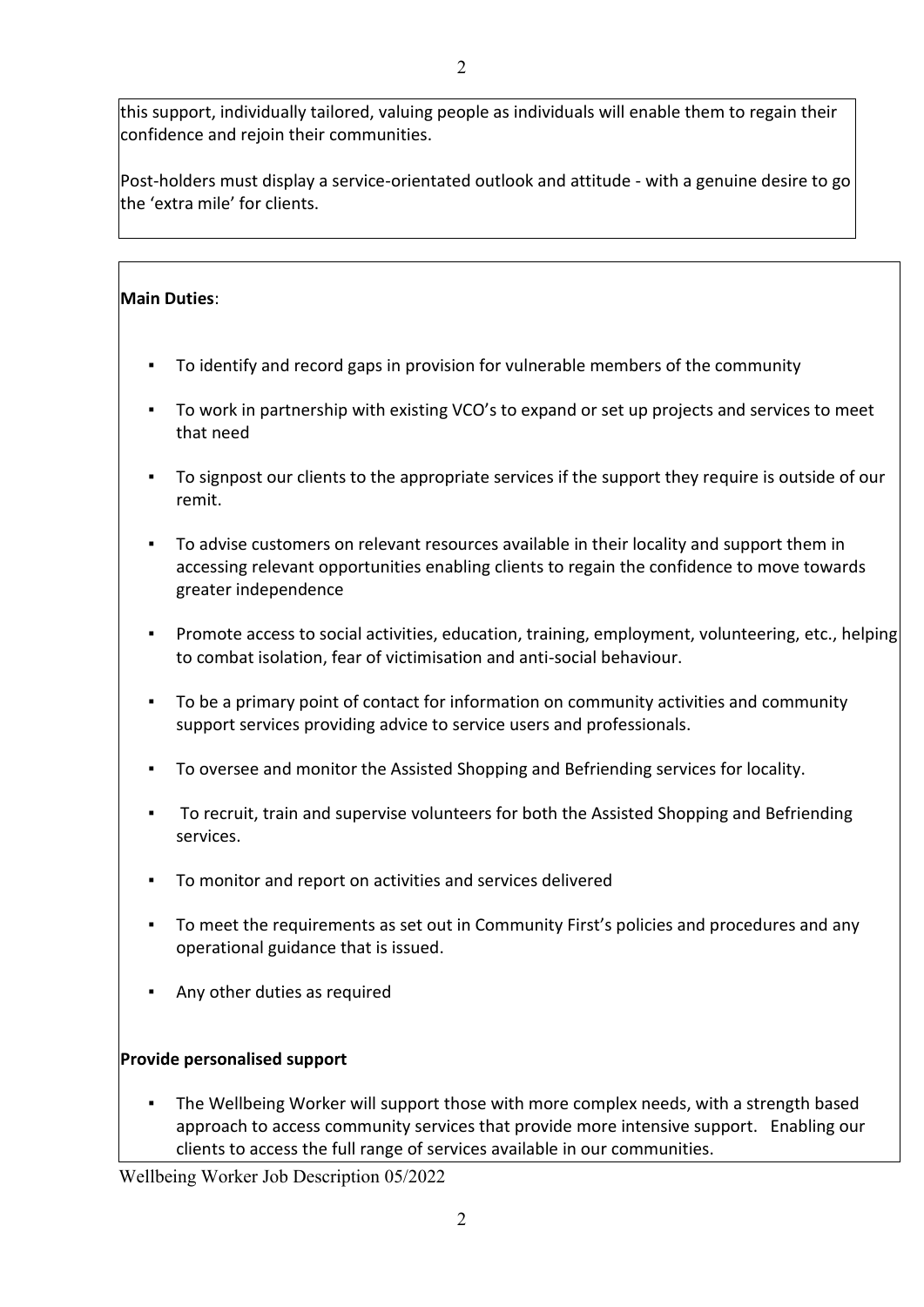this support, individually tailored, valuing people as individuals will enable them to regain their confidence and rejoin their communities.

Post-holders must display a service-orientated outlook and attitude - with a genuine desire to go the 'extra mile' for clients.

## **Main Duties**:

- To identify and record gaps in provision for vulnerable members of the community
- To work in partnership with existing VCO's to expand or set up projects and services to meet that need
- To signpost our clients to the appropriate services if the support they require is outside of our remit.
- To advise customers on relevant resources available in their locality and support them in accessing relevant opportunities enabling clients to regain the confidence to move towards greater independence
- Promote access to social activities, education, training, employment, volunteering, etc., helping to combat isolation, fear of victimisation and anti-social behaviour.
- To be a primary point of contact for information on community activities and community support services providing advice to service users and professionals.
- To oversee and monitor the Assisted Shopping and Befriending services for locality.
- To recruit, train and supervise volunteers for both the Assisted Shopping and Befriending services.
- To monitor and report on activities and services delivered
- To meet the requirements as set out in Community First's policies and procedures and any operational guidance that is issued.
- Any other duties as required

### **Provide personalised support**

The Wellbeing Worker will support those with more complex needs, with a strength based approach to access community services that provide more intensive support. Enabling our clients to access the full range of services available in our communities.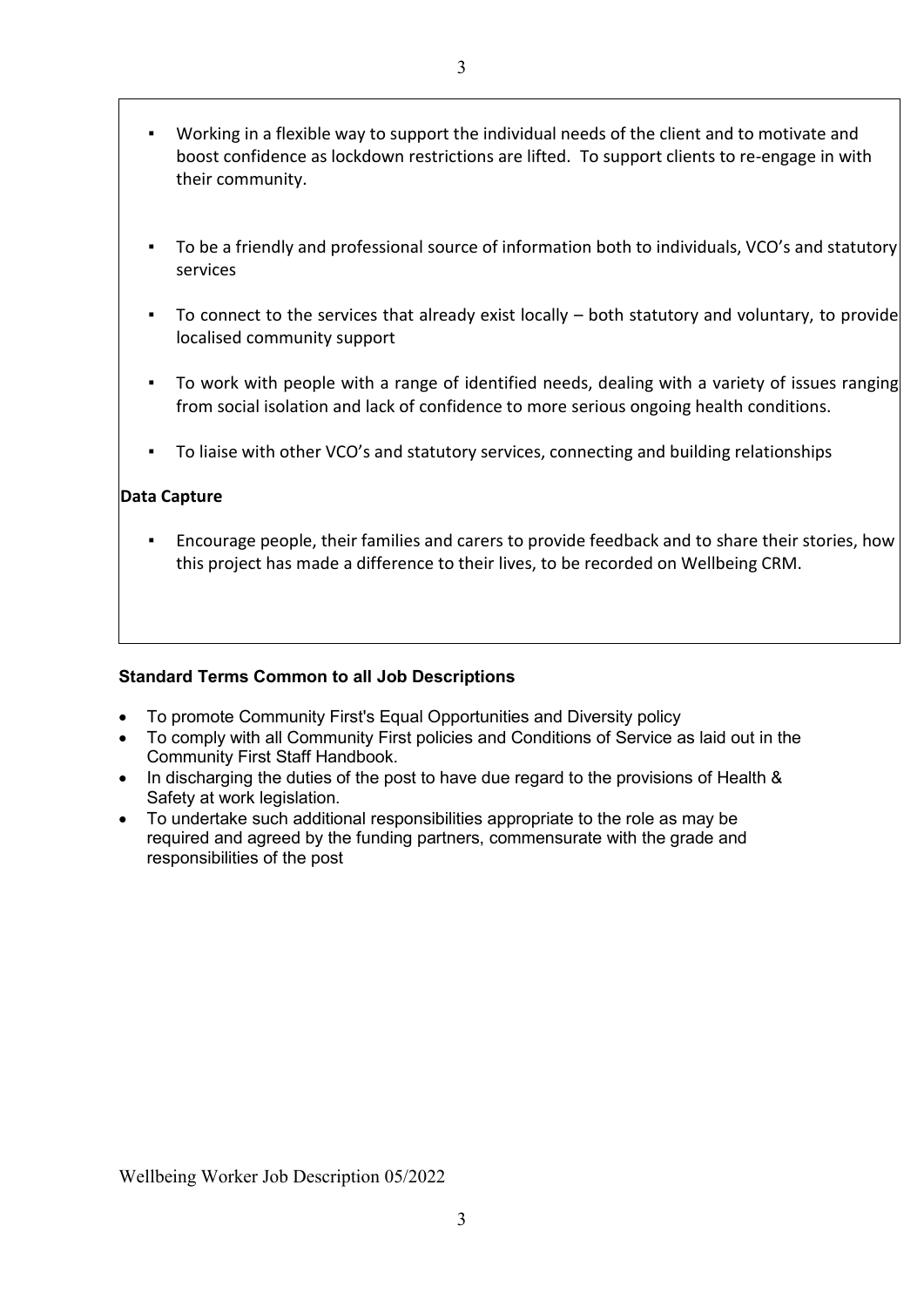- Working in a flexible way to support the individual needs of the client and to motivate and boost confidence as lockdown restrictions are lifted. To support clients to re-engage in with their community.
- To be a friendly and professional source of information both to individuals, VCO's and statutory services
- To connect to the services that already exist locally both statutory and voluntary, to provide localised community support
- To work with people with a range of identified needs, dealing with a variety of issues ranging from social isolation and lack of confidence to more serious ongoing health conditions.
- To liaise with other VCO's and statutory services, connecting and building relationships

### **Data Capture**

Encourage people, their families and carers to provide feedback and to share their stories, how this project has made a difference to their lives, to be recorded on Wellbeing CRM.

### **Standard Terms Common to all Job Descriptions**

- To promote Community First's Equal Opportunities and Diversity policy
- To comply with all Community First policies and Conditions of Service as laid out in the Community First Staff Handbook.
- In discharging the duties of the post to have due regard to the provisions of Health & Safety at work legislation.
- To undertake such additional responsibilities appropriate to the role as may be required and agreed by the funding partners, commensurate with the grade and responsibilities of the post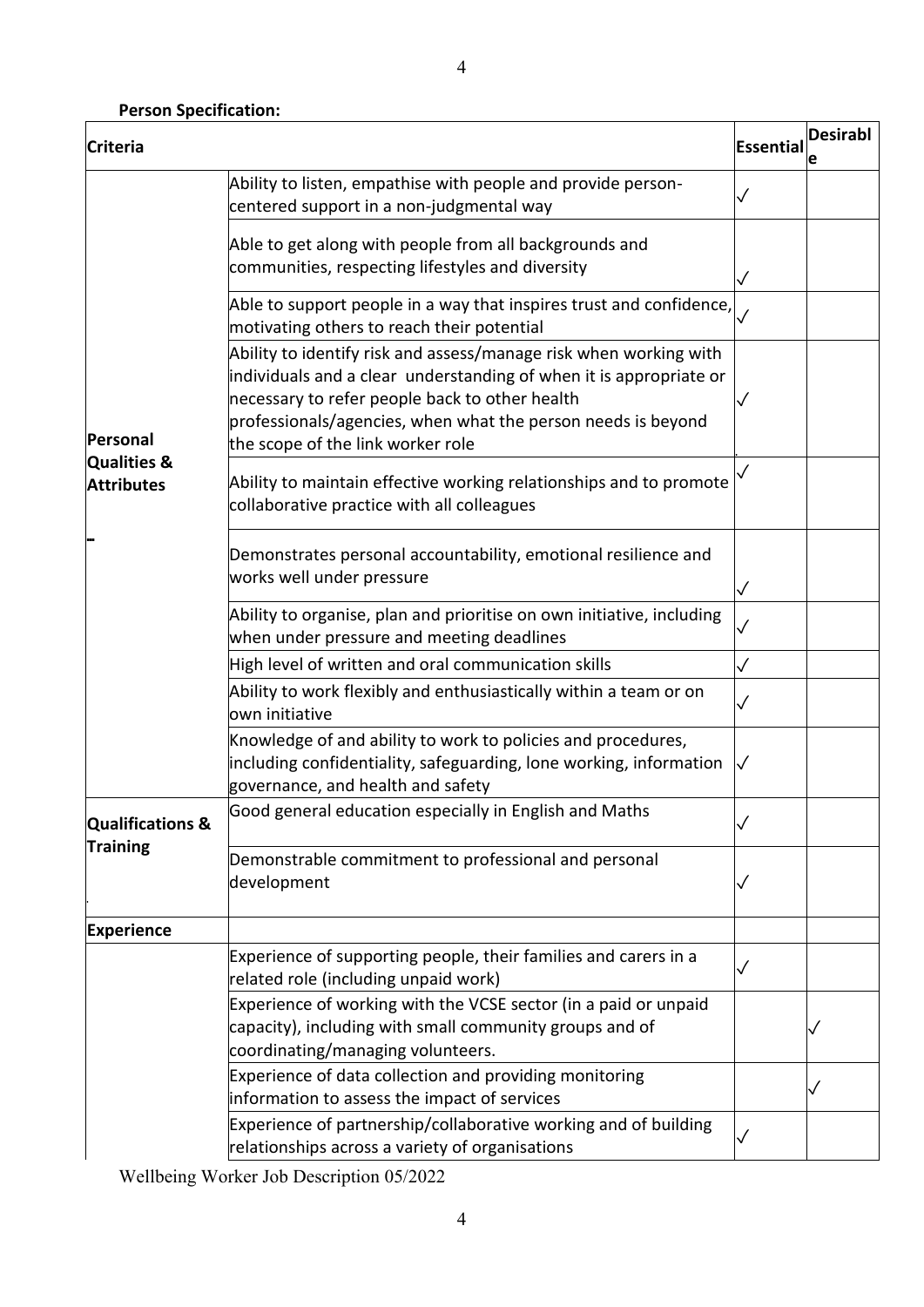# **Person Specification:**

| <b>Criteria</b>                                |                                                                                                                                                                                                                                                                                                | Essential    | <b>Desirabl</b><br>е |
|------------------------------------------------|------------------------------------------------------------------------------------------------------------------------------------------------------------------------------------------------------------------------------------------------------------------------------------------------|--------------|----------------------|
| Personal<br>Qualities &<br><b>Attributes</b>   | Ability to listen, empathise with people and provide person-<br>centered support in a non-judgmental way                                                                                                                                                                                       |              |                      |
|                                                | Able to get along with people from all backgrounds and<br>communities, respecting lifestyles and diversity                                                                                                                                                                                     |              |                      |
|                                                | Able to support people in a way that inspires trust and confidence,<br>motivating others to reach their potential                                                                                                                                                                              |              |                      |
|                                                | Ability to identify risk and assess/manage risk when working with<br>individuals and a clear understanding of when it is appropriate or<br>necessary to refer people back to other health<br>professionals/agencies, when what the person needs is beyond<br>the scope of the link worker role |              |                      |
|                                                | Ability to maintain effective working relationships and to promote<br>collaborative practice with all colleagues                                                                                                                                                                               |              |                      |
|                                                | Demonstrates personal accountability, emotional resilience and<br>works well under pressure                                                                                                                                                                                                    |              |                      |
|                                                | Ability to organise, plan and prioritise on own initiative, including<br>when under pressure and meeting deadlines                                                                                                                                                                             |              |                      |
|                                                | High level of written and oral communication skills                                                                                                                                                                                                                                            | ✓            |                      |
|                                                | Ability to work flexibly and enthusiastically within a team or on<br>lown initiative                                                                                                                                                                                                           |              |                      |
|                                                | Knowledge of and ability to work to policies and procedures,<br>including confidentiality, safeguarding, lone working, information<br>governance, and health and safety                                                                                                                        | $\checkmark$ |                      |
| <b>Qualifications &amp;</b><br><b>Training</b> | Good general education especially in English and Maths                                                                                                                                                                                                                                         |              |                      |
|                                                | Demonstrable commitment to professional and personal<br>development                                                                                                                                                                                                                            |              |                      |
| <b>Experience</b>                              |                                                                                                                                                                                                                                                                                                |              |                      |
|                                                | Experience of supporting people, their families and carers in a<br>related role (including unpaid work)                                                                                                                                                                                        |              |                      |
|                                                | Experience of working with the VCSE sector (in a paid or unpaid<br>capacity), including with small community groups and of<br>coordinating/managing volunteers.                                                                                                                                |              |                      |
|                                                | Experience of data collection and providing monitoring<br>information to assess the impact of services                                                                                                                                                                                         |              |                      |
|                                                | Experience of partnership/collaborative working and of building<br>relationships across a variety of organisations                                                                                                                                                                             |              |                      |